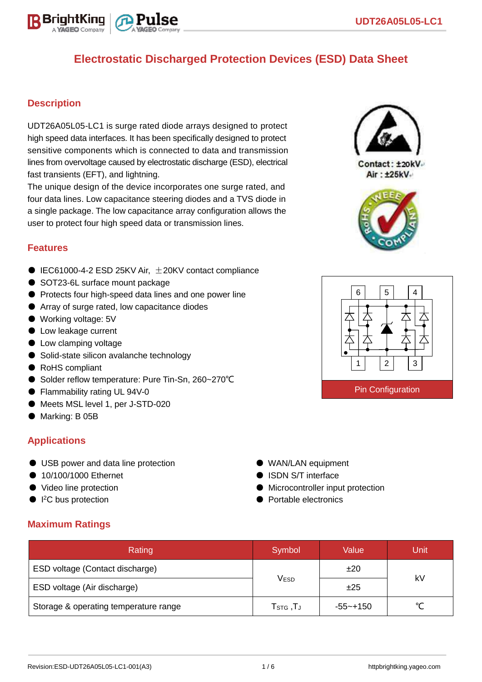

#### **Description**

UDT26A05L05-LC1 is surge rated diode arrays designed to protect high speed data interfaces. It has been specifically designed to protect sensitive components which is connected to data and transmission lines from overvoltage caused by electrostatic discharge (ESD), electrical fast transients (EFT), and lightning.

The unique design of the device incorporates one surge rated, and four data lines. Low capacitance steering diodes and a TVS diode in a single package. The low capacitance array configuration allows the user to protect four high speed data or transmission lines.

#### **Features**

- $\bullet$  IEC61000-4-2 ESD 25KV Air,  $\pm$ 20KV contact compliance
- SOT23-6L surface mount package
- Protects four high-speed data lines and one power line
- Array of surge rated, low capacitance diodes
- Working voltage: 5V
- Low leakage current
- Low clamping voltage
- Solid-state silicon avalanche technology
- RoHS compliant
- Solder reflow temperature: Pure Tin-Sn, 260~270°C
- Flammability rating UL 94V-0
- Meets MSL level 1, per J-STD-020
- Marking: B 05B

## **Applications**

- USB power and data line protection
- 10/100/1000 Ethernet
- Video line protection
- I<sup>2</sup>C bus protection

#### **Maximum Ratings**

| Rating                                | Symbol                                     | Value       | Unit |  |
|---------------------------------------|--------------------------------------------|-------------|------|--|
| ESD voltage (Contact discharge)       |                                            | ±20         | kV   |  |
| ESD voltage (Air discharge)           | <b>VESD</b>                                | ±25         |      |  |
| Storage & operating temperature range | ${\sf T}_{\text{STG}}$ , ${\sf T}_{\sf J}$ | $-55$ ~+150 |      |  |



Contact: ±20kV Air: ±25kV





● WAN/LAN equipment ● ISDN S/T interface

● Portable electronics

● Microcontroller input protection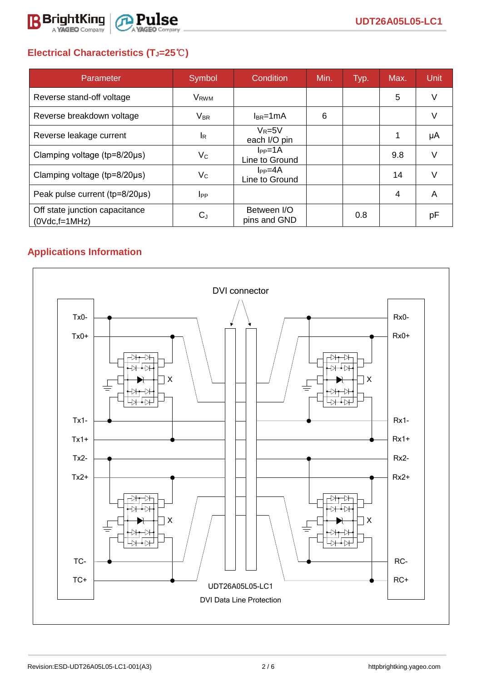

# **Electrical Characteristics (TJ=25**℃**)**

| Parameter                                         | Symbol                  | Condition                     | Min. | Typ. | Max. | <b>Unit</b> |
|---------------------------------------------------|-------------------------|-------------------------------|------|------|------|-------------|
| Reverse stand-off voltage                         | <b>V</b> <sub>RWM</sub> |                               |      |      | 5    | V           |
| Reverse breakdown voltage                         | <b>V<sub>BR</sub></b>   | $l_{BR}$ =1mA                 | 6    |      |      |             |
| Reverse leakage current                           | $I_R$                   | $V_R = 5V$<br>each I/O pin    |      |      |      | μA          |
| Clamping voltage ( $tp=8/20\mu s$ )               | $V_C$                   | $I_{PP}=1A$<br>Line to Ground |      |      | 9.8  | V           |
| Clamping voltage (tp=8/20µs)                      | $V_C$                   | $I_{PP}=4A$<br>Line to Ground |      |      | 14   | V           |
| Peak pulse current (tp=8/20µs)                    | $_{\rm lpp}$            |                               |      |      | 4    | A           |
| Off state junction capacitance<br>$(0Vdc,f=1MHz)$ | $C_J$                   | Between I/O<br>pins and GND   |      | 0.8  |      | рF          |

# **Applications Information**

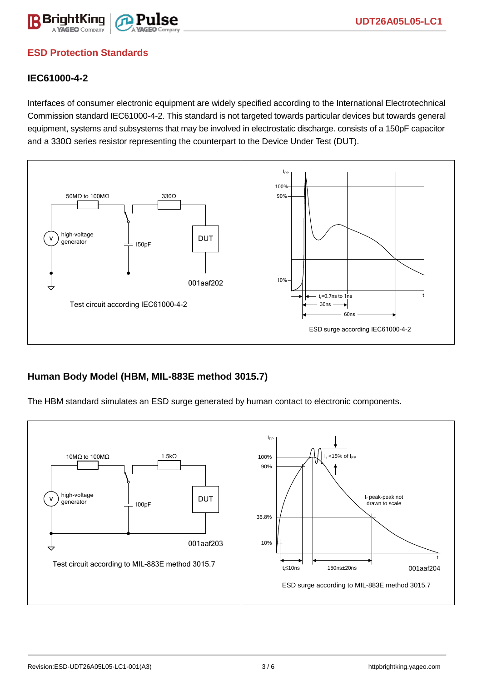

## **ESD Protection Standards**

### **IEC61000-4-2**

Interfaces of consumer electronic equipment are widely specified according to the International Electrotechnical Commission standard IEC61000-4-2. This standard is not targeted towards particular devices but towards general equipment, systems and subsystems that may be involved in electrostatic discharge. consists of a 150pF capacitor and a 330Ω series resistor representing the counterpart to the Device Under Test (DUT).



## **Human Body Model (HBM, MIL-883E method 3015.7)**

The HBM standard simulates an ESD surge generated by human contact to electronic components.

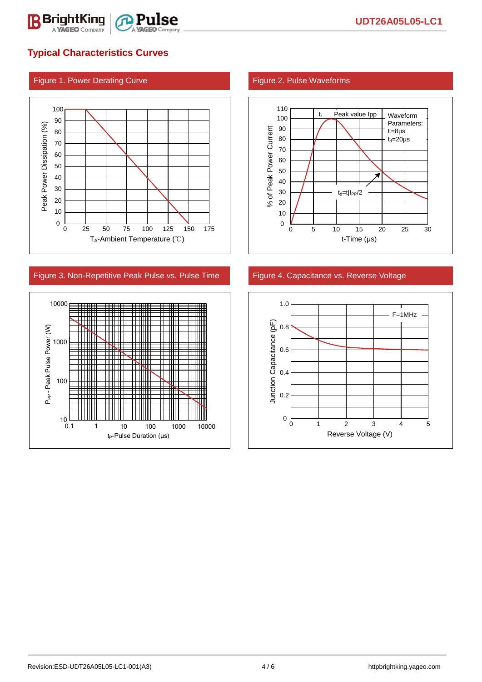

## **Typical Characteristics Curves**

#### Figure 1. Power Derating Curve Figure 2. Pulse Waveforms



#### Figure 3. Non-Repetitive Peak Pulse vs. Pulse Time Figure 4. Capacitance vs. Reverse Voltage





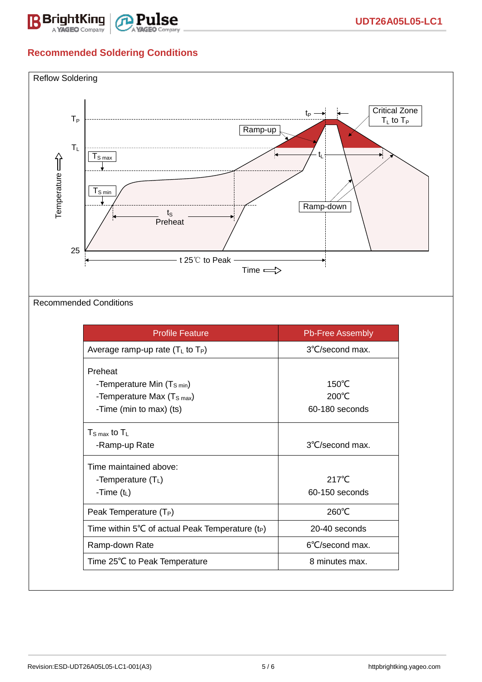

# **Recommended Soldering Conditions**